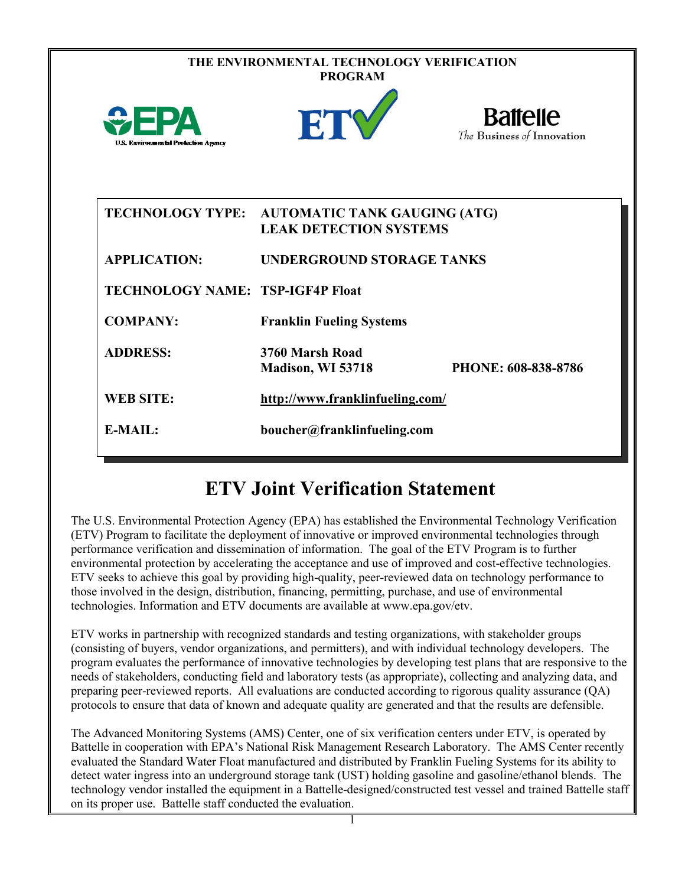| THE ENVIRONMENTAL TECHNOLOGY VERIFICATION<br><b>PROGRAM</b> |                                                                      |                                               |  |  |  |
|-------------------------------------------------------------|----------------------------------------------------------------------|-----------------------------------------------|--|--|--|
| <b>U.S. Environmental Protection Agency</b>                 | ETY                                                                  | <b>Battelle</b><br>The Business of Innovation |  |  |  |
| <b>TECHNOLOGY TYPE:</b>                                     | <b>AUTOMATIC TANK GAUGING (ATG)</b><br><b>LEAK DETECTION SYSTEMS</b> |                                               |  |  |  |
| <b>APPLICATION:</b>                                         | <b>UNDERGROUND STORAGE TANKS</b>                                     |                                               |  |  |  |
| <b>TECHNOLOGY NAME: TSP-IGF4P Float</b>                     |                                                                      |                                               |  |  |  |
| <b>COMPANY:</b>                                             | <b>Franklin Fueling Systems</b>                                      |                                               |  |  |  |
| <b>ADDRESS:</b>                                             | 3760 Marsh Road<br>Madison, WI 53718                                 | PHONE: 608-838-8786                           |  |  |  |
| <b>WEB SITE:</b>                                            | http://www.franklinfueling.com/                                      |                                               |  |  |  |
| E-MAIL:                                                     | boucher@franklinfueling.com                                          |                                               |  |  |  |

# **ETV Joint Verification Statement**

The U.S. Environmental Protection Agency (EPA) has established the Environmental Technology Verification (ETV) Program to facilitate the deployment of innovative or improved environmental technologies through performance verification and dissemination of information. The goal of the ETV Program is to further environmental protection by accelerating the acceptance and use of improved and cost-effective technologies. ETV seeks to achieve this goal by providing high-quality, peer-reviewed data on technology performance to those involved in the design, distribution, financing, permitting, purchase, and use of environmental technologies. Information and ETV documents are available at www.epa.gov/etv.

ETV works in partnership with recognized standards and testing organizations, with stakeholder groups (consisting of buyers, vendor organizations, and permitters), and with individual technology developers. The program evaluates the performance of innovative technologies by developing test plans that are responsive to the needs of stakeholders, conducting field and laboratory tests (as appropriate), collecting and analyzing data, and preparing peer-reviewed reports. All evaluations are conducted according to rigorous quality assurance (QA) protocols to ensure that data of known and adequate quality are generated and that the results are defensible.

The Advanced Monitoring Systems (AMS) Center, one of six verification centers under ETV, is operated by Battelle in cooperation with EPA's National Risk Management Research Laboratory. The AMS Center recently evaluated the Standard Water Float manufactured and distributed by Franklin Fueling Systems for its ability to detect water ingress into an underground storage tank (UST) holding gasoline and gasoline/ethanol blends. The technology vendor installed the equipment in a Battelle-designed/constructed test vessel and trained Battelle staff on its proper use. Battelle staff conducted the evaluation.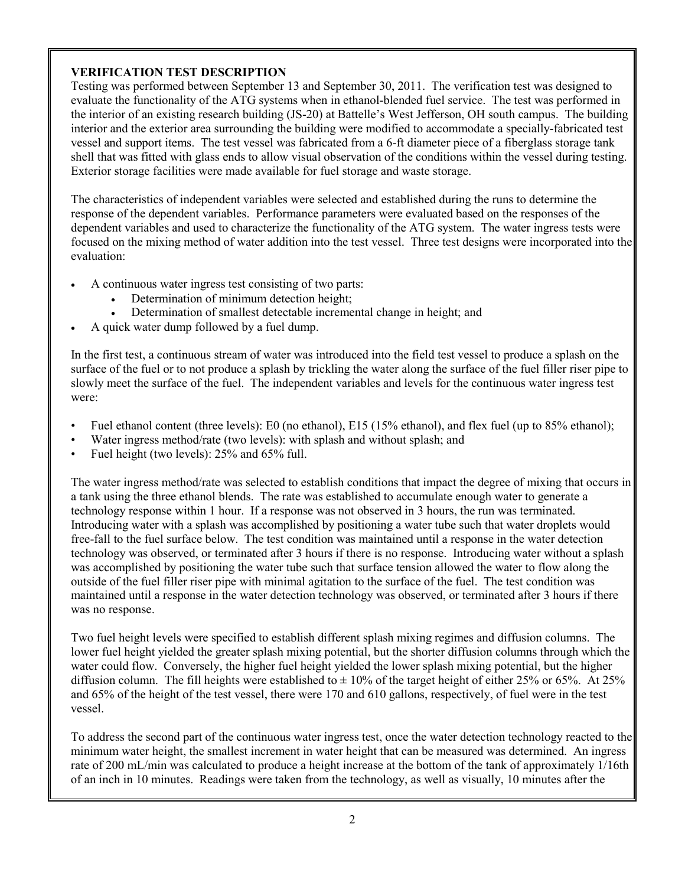## **VERIFICATION TEST DESCRIPTION**

Testing was performed between September 13 and September 30, 2011. The verification test was designed to evaluate the functionality of the ATG systems when in ethanol-blended fuel service. The test was performed in the interior of an existing research building (JS-20) at Battelle's West Jefferson, OH south campus. The building interior and the exterior area surrounding the building were modified to accommodate a specially-fabricated test vessel and support items. The test vessel was fabricated from a 6-ft diameter piece of a fiberglass storage tank shell that was fitted with glass ends to allow visual observation of the conditions within the vessel during testing. Exterior storage facilities were made available for fuel storage and waste storage.

The characteristics of independent variables were selected and established during the runs to determine the response of the dependent variables. Performance parameters were evaluated based on the responses of the dependent variables and used to characterize the functionality of the ATG system. The water ingress tests were focused on the mixing method of water addition into the test vessel. Three test designs were incorporated into the evaluation:

- A continuous water ingress test consisting of two parts:
	- Determination of minimum detection height;
	- Determination of smallest detectable incremental change in height; and
- A quick water dump followed by a fuel dump.

In the first test, a continuous stream of water was introduced into the field test vessel to produce a splash on the surface of the fuel or to not produce a splash by trickling the water along the surface of the fuel filler riser pipe to slowly meet the surface of the fuel. The independent variables and levels for the continuous water ingress test were:

- Fuel ethanol content (three levels): E0 (no ethanol), E15 (15% ethanol), and flex fuel (up to 85% ethanol);
- Water ingress method/rate (two levels): with splash and without splash; and
- Fuel height (two levels): 25% and 65% full.

The water ingress method/rate was selected to establish conditions that impact the degree of mixing that occurs in a tank using the three ethanol blends. The rate was established to accumulate enough water to generate a technology response within 1 hour. If a response was not observed in 3 hours, the run was terminated. Introducing water with a splash was accomplished by positioning a water tube such that water droplets would free-fall to the fuel surface below. The test condition was maintained until a response in the water detection technology was observed, or terminated after 3 hours if there is no response. Introducing water without a splash was accomplished by positioning the water tube such that surface tension allowed the water to flow along the outside of the fuel filler riser pipe with minimal agitation to the surface of the fuel. The test condition was maintained until a response in the water detection technology was observed, or terminated after 3 hours if there was no response.

Two fuel height levels were specified to establish different splash mixing regimes and diffusion columns. The lower fuel height yielded the greater splash mixing potential, but the shorter diffusion columns through which the water could flow. Conversely, the higher fuel height yielded the lower splash mixing potential, but the higher diffusion column. The fill heights were established to  $\pm$  10% of the target height of either 25% or 65%. At 25% and 65% of the height of the test vessel, there were 170 and 610 gallons, respectively, of fuel were in the test vessel.

To address the second part of the continuous water ingress test, once the water detection technology reacted to the minimum water height, the smallest increment in water height that can be measured was determined. An ingress rate of 200 mL/min was calculated to produce a height increase at the bottom of the tank of approximately 1/16th of an inch in 10 minutes. Readings were taken from the technology, as well as visually, 10 minutes after the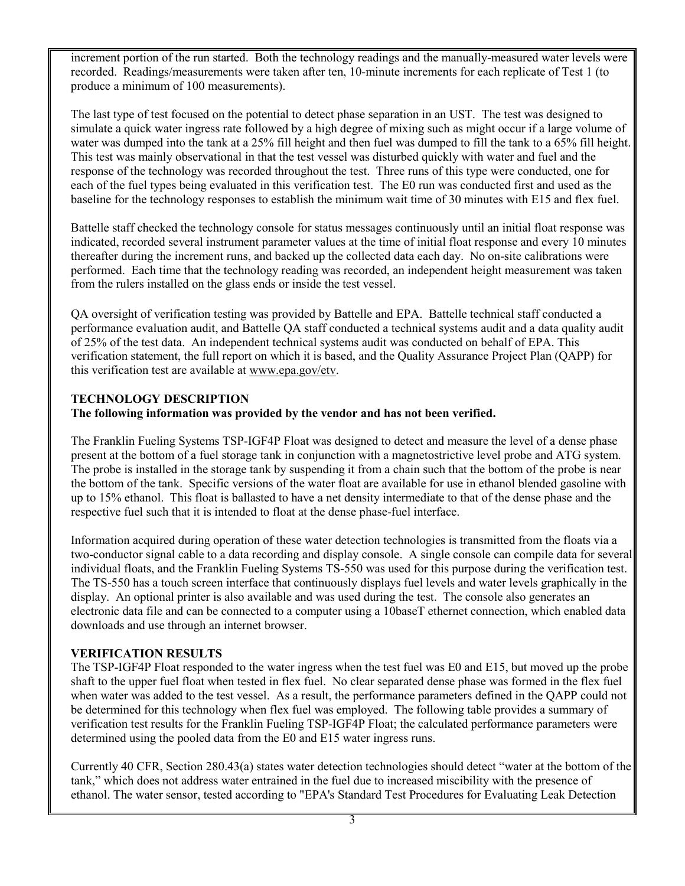increment portion of the run started. Both the technology readings and the manually-measured water levels were recorded. Readings/measurements were taken after ten, 10-minute increments for each replicate of Test 1 (to produce a minimum of 100 measurements).

The last type of test focused on the potential to detect phase separation in an UST. The test was designed to simulate a quick water ingress rate followed by a high degree of mixing such as might occur if a large volume of water was dumped into the tank at a 25% fill height and then fuel was dumped to fill the tank to a 65% fill height. This test was mainly observational in that the test vessel was disturbed quickly with water and fuel and the response of the technology was recorded throughout the test. Three runs of this type were conducted, one for each of the fuel types being evaluated in this verification test. The E0 run was conducted first and used as the baseline for the technology responses to establish the minimum wait time of 30 minutes with E15 and flex fuel.

Battelle staff checked the technology console for status messages continuously until an initial float response was indicated, recorded several instrument parameter values at the time of initial float response and every 10 minutes thereafter during the increment runs, and backed up the collected data each day. No on-site calibrations were performed. Each time that the technology reading was recorded, an independent height measurement was taken from the rulers installed on the glass ends or inside the test vessel.

QA oversight of verification testing was provided by Battelle and EPA. Battelle technical staff conducted a performance evaluation audit, and Battelle QA staff conducted a technical systems audit and a data quality audit of 25% of the test data. An independent technical systems audit was conducted on behalf of EPA. This verification statement, the full report on which it is based, and the Quality Assurance Project Plan (QAPP) for this verification test are available at [www.epa.gov/etv.](http://www.epa.gov/etv)

## **TECHNOLOGY DESCRIPTION**

### **The following information was provided by the vendor and has not been verified.**

The Franklin Fueling Systems TSP-IGF4P Float was designed to detect and measure the level of a dense phase present at the bottom of a fuel storage tank in conjunction with a magnetostrictive level probe and ATG system. The probe is installed in the storage tank by suspending it from a chain such that the bottom of the probe is near the bottom of the tank. Specific versions of the water float are available for use in ethanol blended gasoline with up to 15% ethanol. This float is ballasted to have a net density intermediate to that of the dense phase and the respective fuel such that it is intended to float at the dense phase-fuel interface.

Information acquired during operation of these water detection technologies is transmitted from the floats via a two-conductor signal cable to a data recording and display console. A single console can compile data for several individual floats, and the Franklin Fueling Systems TS-550 was used for this purpose during the verification test. The TS-550 has a touch screen interface that continuously displays fuel levels and water levels graphically in the display. An optional printer is also available and was used during the test. The console also generates an electronic data file and can be connected to a computer using a 10baseT ethernet connection, which enabled data downloads and use through an internet browser.

### **VERIFICATION RESULTS**

The TSP-IGF4P Float responded to the water ingress when the test fuel was E0 and E15, but moved up the probe shaft to the upper fuel float when tested in flex fuel. No clear separated dense phase was formed in the flex fuel when water was added to the test vessel. As a result, the performance parameters defined in the QAPP could not be determined for this technology when flex fuel was employed. The following table provides a summary of verification test results for the Franklin Fueling TSP-IGF4P Float; the calculated performance parameters were determined using the pooled data from the E0 and E15 water ingress runs.

Currently 40 CFR, Section 280.43(a) states water detection technologies should detect "water at the bottom of the tank," which does not address water entrained in the fuel due to increased miscibility with the presence of ethanol. The water sensor, tested according to "EPA's Standard Test Procedures for Evaluating Leak Detection